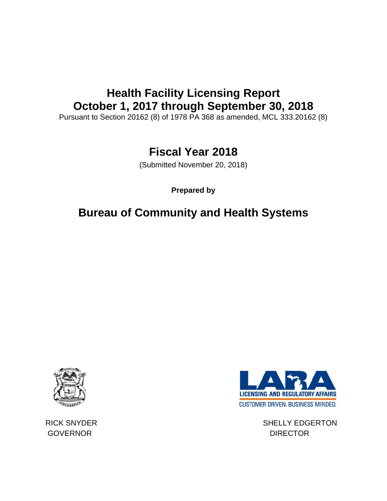# **Health Facility Licensing Report October 1, 2017 through September 30, 2018**

Pursuant to Section 20162 (8) of 1978 PA 368 as amended, MCL 333.20162 (8)

## **Fiscal Year 2018**

(Submitted November 20, 2018)

**Prepared by**

## **Bureau of Community and Health Systems**



GOVERNOR DIRECTOR



RICK SNYDER SHELLY EDGERTON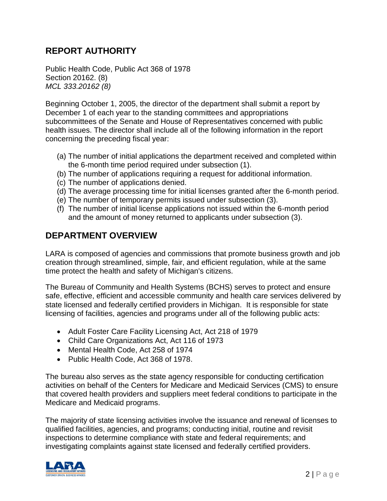### **REPORT AUTHORITY**

Public Health Code, Public Act 368 of 1978 Section 20162. (8) *MCL 333.20162 (8)*

Beginning October 1, 2005, the director of the department shall submit a report by December 1 of each year to the standing committees and appropriations subcommittees of the Senate and House of Representatives concerned with public health issues. The director shall include all of the following information in the report concerning the preceding fiscal year:

- (a) The number of initial applications the department received and completed within the 6-month time period required under subsection (1).
- (b) The number of applications requiring a request for additional information.
- (c) The number of applications denied.
- (d) The average processing time for initial licenses granted after the 6-month period.
- (e) The number of temporary permits issued under subsection (3).
- (f) The number of initial license applications not issued within the 6-month period and the amount of money returned to applicants under subsection (3).

### **DEPARTMENT OVERVIEW**

LARA is composed of agencies and commissions that promote business growth and job creation through streamlined, simple, fair, and efficient regulation, while at the same time protect the health and safety of Michigan's citizens.

The Bureau of Community and Health Systems (BCHS) serves to protect and ensure safe, effective, efficient and accessible community and health care services delivered by state licensed and federally certified providers in Michigan. It is responsible for state licensing of facilities, agencies and programs under all of the following public acts:

- Adult Foster Care Facility Licensing Act, Act 218 of 1979
- Child Care Organizations Act, Act 116 of 1973
- Mental Health Code, Act 258 of 1974
- Public Health Code, Act 368 of 1978.

The bureau also serves as the state agency responsible for conducting certification activities on behalf of the Centers for Medicare and Medicaid Services (CMS) to ensure that covered health providers and suppliers meet federal conditions to participate in the Medicare and Medicaid programs.

The majority of state licensing activities involve the issuance and renewal of licenses to qualified facilities, agencies, and programs; conducting initial, routine and revisit inspections to determine compliance with state and federal requirements; and investigating complaints against state licensed and federally certified providers.

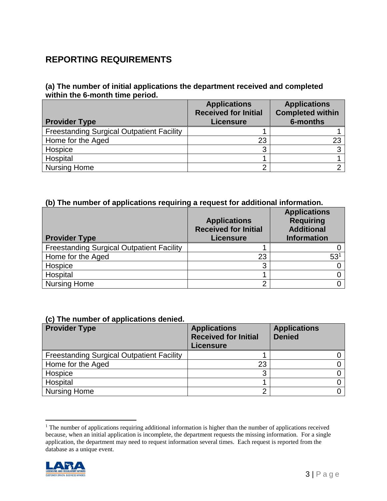### **REPORTING REQUIREMENTS**

#### **(a) The number of initial applications the department received and completed within the 6-month time period.**

| <b>Provider Type</b>                             | <b>Applications</b><br><b>Received for Initial</b><br><b>Licensure</b> | <b>Applications</b><br><b>Completed within</b><br>6-months |
|--------------------------------------------------|------------------------------------------------------------------------|------------------------------------------------------------|
| <b>Freestanding Surgical Outpatient Facility</b> |                                                                        |                                                            |
| Home for the Aged                                | 23                                                                     |                                                            |
| Hospice                                          |                                                                        |                                                            |
| Hospital                                         |                                                                        |                                                            |
| <b>Nursing Home</b>                              |                                                                        |                                                            |

#### **(b) The number of applications requiring a request for additional information.**

| <b>Provider Type</b>                             | <b>Applications</b><br><b>Received for Initial</b><br><b>Licensure</b> | <b>Applications</b><br><b>Requiring</b><br><b>Additional</b><br><b>Information</b> |
|--------------------------------------------------|------------------------------------------------------------------------|------------------------------------------------------------------------------------|
| <b>Freestanding Surgical Outpatient Facility</b> |                                                                        |                                                                                    |
| Home for the Aged                                | 23                                                                     | 53 <sup>′</sup>                                                                    |
| Hospice                                          |                                                                        |                                                                                    |
| Hospital                                         |                                                                        |                                                                                    |
| <b>Nursing Home</b>                              | ⌒                                                                      |                                                                                    |

#### **(c) The number of applications denied.**

| <b>Provider Type</b>                             | <b>Applications</b><br><b>Received for Initial</b><br><b>Licensure</b> | <b>Applications</b><br><b>Denied</b> |
|--------------------------------------------------|------------------------------------------------------------------------|--------------------------------------|
| <b>Freestanding Surgical Outpatient Facility</b> |                                                                        |                                      |
| Home for the Aged                                | 23                                                                     |                                      |
| Hospice                                          |                                                                        |                                      |
| Hospital                                         |                                                                        |                                      |
| <b>Nursing Home</b>                              |                                                                        |                                      |

 $<sup>1</sup>$  The number of applications requiring additional information is higher than the number of applications received</sup> because, when an initial application is incomplete, the department requests the missing information. For a single application, the department may need to request information several times. Each request is reported from the database as a unique event.



 $\overline{a}$